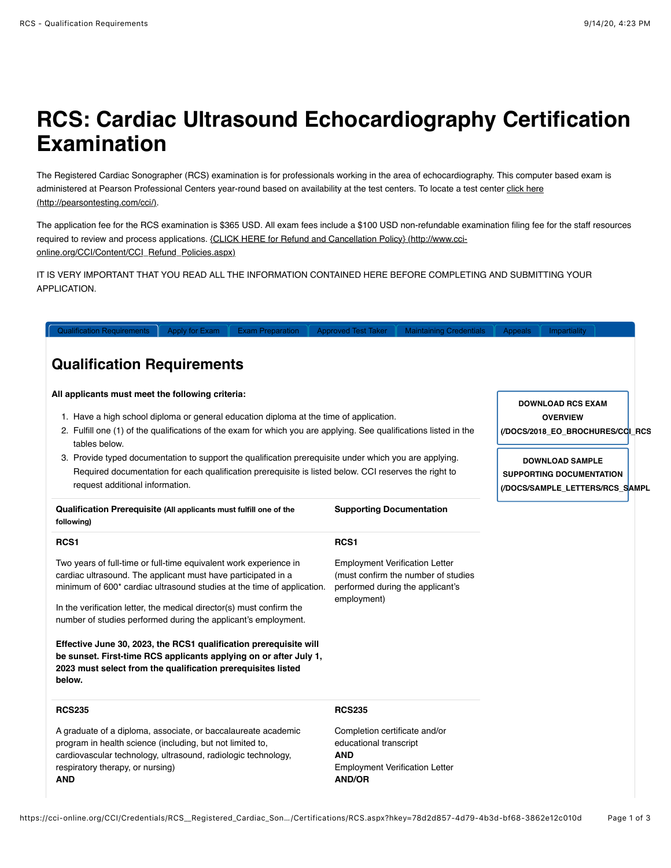## **RCS: Cardiac Ultrasound Echocardiography Certification Examination**

The Registered Cardiac Sonographer (RCS) examination is for professionals working in the area of echocardiography. This computer based exam is [administered at Pearson Professional Centers year-round based on availability at the test centers. To locate a test center click here](http://pearsontesting.com/cci/) (http://pearsontesting.com/cci/).

The application fee for the RCS examination is \$365 USD. All exam fees include a \$100 USD non-refundable examination filing fee for the staff resources [required to review and process applications. {CLICK HERE for Refund and Cancellation Policy} \(http://www.cci](http://www.cci-online.org/CCI/Content/CCI_Refund_Policies.aspx)online.org/CCI/Content/CCI\_Refund\_Policies.aspx)

IT IS VERY IMPORTANT THAT YOU READ ALL THE INFORMATION CONTAINED HERE BEFORE COMPLETING AND SUBMITTING YOUR APPLICATION.

| <b>Qualification Requirements</b><br>Apply for Exam<br><b>Exam Preparation</b>                                                                                                                                                                     | <b>Approved Test Taker</b>                                                                                                      | <b>Maintaining Credentials</b>                                          | Appeals | Impartiality                                                                          |  |
|----------------------------------------------------------------------------------------------------------------------------------------------------------------------------------------------------------------------------------------------------|---------------------------------------------------------------------------------------------------------------------------------|-------------------------------------------------------------------------|---------|---------------------------------------------------------------------------------------|--|
| <b>Qualification Requirements</b>                                                                                                                                                                                                                  |                                                                                                                                 |                                                                         |         |                                                                                       |  |
| All applicants must meet the following criteria:                                                                                                                                                                                                   |                                                                                                                                 |                                                                         |         | <b>DOWNLOAD RCS EXAM</b>                                                              |  |
| 1. Have a high school diploma or general education diploma at the time of application.<br>2. Fulfill one (1) of the qualifications of the exam for which you are applying. See qualifications listed in the<br>tables below.                       |                                                                                                                                 |                                                                         |         | <b>OVERVIEW</b><br>(/DOCS/2018_EO_BROCHURES/CCI_RCS                                   |  |
| 3. Provide typed documentation to support the qualification prerequisite under which you are applying.<br>Required documentation for each qualification prerequisite is listed below. CCI reserves the right to<br>request additional information. |                                                                                                                                 |                                                                         |         | <b>DOWNLOAD SAMPLE</b><br>SUPPORTING DOCUMENTATION<br>(/DOCS/SAMPLE_LETTERS/RCS_SAMPL |  |
| Qualification Prerequisite (All applicants must fulfill one of the<br>following)                                                                                                                                                                   | <b>Supporting Documentation</b>                                                                                                 |                                                                         |         |                                                                                       |  |
| RCS <sub>1</sub>                                                                                                                                                                                                                                   | RCS <sub>1</sub>                                                                                                                |                                                                         |         |                                                                                       |  |
| Two years of full-time or full-time equivalent work experience in<br>cardiac ultrasound. The applicant must have participated in a<br>minimum of 600* cardiac ultrasound studies at the time of application.                                       | <b>Employment Verification Letter</b><br>employment)                                                                            | (must confirm the number of studies<br>performed during the applicant's |         |                                                                                       |  |
| In the verification letter, the medical director(s) must confirm the<br>number of studies performed during the applicant's employment.                                                                                                             |                                                                                                                                 |                                                                         |         |                                                                                       |  |
| Effective June 30, 2023, the RCS1 qualification prerequisite will<br>be sunset. First-time RCS applicants applying on or after July 1,<br>2023 must select from the qualification prerequisites listed<br>below.                                   |                                                                                                                                 |                                                                         |         |                                                                                       |  |
| <b>RCS235</b>                                                                                                                                                                                                                                      | <b>RCS235</b>                                                                                                                   |                                                                         |         |                                                                                       |  |
| A graduate of a diploma, associate, or baccalaureate academic<br>program in health science (including, but not limited to,<br>cardiovascular technology, ultrasound, radiologic technology,<br>respiratory therapy, or nursing)<br><b>AND</b>      | Completion certificate and/or<br>educational transcript<br><b>AND</b><br><b>Employment Verification Letter</b><br><b>AND/OR</b> |                                                                         |         |                                                                                       |  |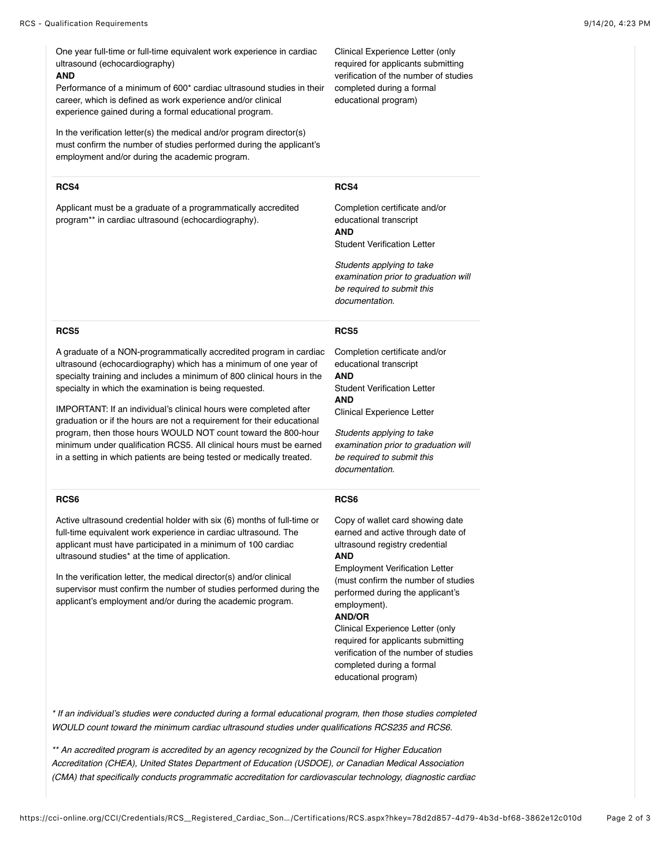One year full-time or full-time equivalent work experience in cardiac ultrasound (echocardiography)

#### **AND**

Performance of a minimum of 600\* cardiac ultrasound studies in their career, which is defined as work experience and/or clinical experience gained during a formal educational program.

In the verification letter(s) the medical and/or program director(s) must confirm the number of studies performed during the applicant's employment and/or during the academic program.

### **RCS4**

Applicant must be a graduate of a programmatically accredited program\*\* in cardiac ultrasound (echocardiography).

Clinical Experience Letter (only required for applicants submitting verification of the number of studies completed during a formal educational program)

#### **RCS4**

Completion certificate and/or educational transcript **AND** Student Verification Letter

*Students applying to take examination prior to graduation will be required to submit this documentation.*

### **RCS5**

A graduate of a NON-programmatically accredited program in cardiac ultrasound (echocardiography) which has a minimum of one year of specialty training and includes a minimum of 800 clinical hours in the specialty in which the examination is being requested.

IMPORTANT: If an individual's clinical hours were completed after graduation or if the hours are not a requirement for their educational program, then those hours WOULD NOT count toward the 800-hour minimum under qualification RCS5. All clinical hours must be earned in a setting in which patients are being tested or medically treated.

### **RCS6**

Active ultrasound credential holder with six (6) months of full-time or full-time equivalent work experience in cardiac ultrasound. The applicant must have participated in a minimum of 100 cardiac ultrasound studies\* at the time of application.

In the verification letter, the medical director(s) and/or clinical supervisor must confirm the number of studies performed during the applicant's employment and/or during the academic program.

# **RCS5**

Completion certificate and/or educational transcript **AND** Student Verification Letter **AND** Clinical Experience Letter

*Students applying to take examination prior to graduation will be required to submit this documentation.*

#### **RCS6**

Copy of wallet card showing date earned and active through date of ultrasound registry credential **AND**

Employment Verification Letter (must confirm the number of studies performed during the applicant's employment).

## **AND/OR**

Clinical Experience Letter (only required for applicants submitting verification of the number of studies completed during a formal educational program)

*\* If an individual's studies were conducted during a formal educational program, then those studies completed WOULD count toward the minimum cardiac ultrasound studies under qualifications RCS235 and RCS6.*

*\*\* An accredited program is accredited by an agency recognized by the Council for Higher Education Accreditation (CHEA), United States Department of Education (USDOE), or Canadian Medical Association (CMA) that specifically conducts programmatic accreditation for cardiovascular technology, diagnostic cardiac*